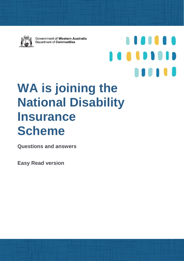

Government of Western Australia Department of Communities

1101110

**AUDITIE** 

# **WA is joining the National Disability Insurance Scheme**

**Questions and answers** 

**Easy Read version**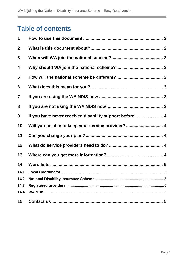the control of the control of the control of the control of the control of the control of the control of the control of the control of the control of the control of the control of the control of the control of the control

# **Table of contents**

| 1              |                                                        |
|----------------|--------------------------------------------------------|
| $\mathbf 2$    |                                                        |
| 3              |                                                        |
| 4              |                                                        |
| 5              |                                                        |
| 6              |                                                        |
| $\overline{7}$ |                                                        |
| 8              |                                                        |
| 9              | If you have never received disability support before 4 |
| 10             | Will you be able to keep your service provider?  4     |
| 11             |                                                        |
| 12             |                                                        |
| 13             |                                                        |
| 14             |                                                        |
| 14.1           |                                                        |
| 14.2           |                                                        |
| 14.3           |                                                        |
| 14.4           |                                                        |
| 15             |                                                        |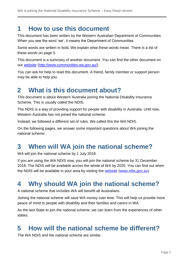## <span id="page-2-0"></span>**1 How to use this document**

This document has been written by the Western Australian Department of Communities. When you see the word 'we', it means the Department of Communities.

Some words are written in bold**.** We explain what these words mean. There is a list of these words on page 5.

This document is a summary of another document. You can find the other document on our [website](http://www.communities.wa.gov.au/) [\(http://www.communities.wa.gov.au/\)](http://www.communities.wa.gov.au/).

You can ask for help to read this document. A friend, family member or support person may be able to help you.

## <span id="page-2-1"></span>**2 What is this document about?**

This document is about Western Australia joining the National Disability Insurance Scheme. This is usually called the NDIS.

The NDIS is a way of providing support for people with disability in Australia. Until now, Western Australia has not joined the national scheme.

Instead, we followed a different set of rules. We called this the WA NDIS.

On the following pages, we answer some important questions about WA joining the national scheme.

# <span id="page-2-2"></span>**3 When will WA join the national scheme?**

WA will join the national scheme by 1 July 2018.

If you are using the WA NDIS now, you will join the national scheme by 31 December 2018. The NDIS will be available across the whole of WA by 2020. You can find out when the NDIS will be available in your area by visiting the [website](http://www.ndis.gov.au/) [\(www.ndis.gov.au\)](http://www.ndis.gov.au/).

# <span id="page-2-3"></span>**4 Why should WA join the national scheme?**

A national scheme that includes WA will benefit all Australians.

Joining the national scheme will save WA money over time. This will help us provide more peace of mind to people with disability and their families and carers in WA.

As the last State to join the national scheme, we can learn from the experiences of other states.

# <span id="page-2-4"></span>**5 How will the national scheme be different?**

The WA NDIS and the national scheme are similar.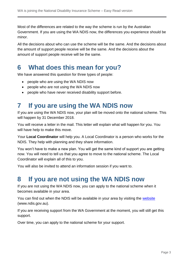Most of the differences are related to the way the scheme is run by the Australian Government. If you are using the WA NDIS now, the differences you experience should be minor.

All the decisions about who can use the scheme will be the same. And the decisions about the amount of support people receive will be the same. And the decisions about the amount of support people receive will be the same.

## <span id="page-3-0"></span>**6 What does this mean for you?**

We have answered this question for three types of people:

- people who are using the WA NDIS now
- people who are not using the WA NDIS now
- people who have never received disability support before.

## <span id="page-3-1"></span>**7 If you are using the WA NDIS now**

If you are using the WA NDIS now, your plan will be moved onto the national scheme. This will happen by 31 December 2018.

You will receive a letter in the mail. This letter will explain what will happen for you. You will have help to make this move.

Your **Local Coordinator** will help you. A Local Coordinator is a person who works for the NDIS. They help with planning and they share information.

You won't have to make a new plan. You will get the same kind of support you are getting now. You will need to tell us that you agree to move to the national scheme. The Local Coordinator will explain all of this to you.

You will also be invited to attend an information session if you want to.

#### <span id="page-3-2"></span>**8 If you are not using the WA NDIS now**

If you are not using the WA NDIS now, you can apply to the national scheme when it becomes available in your area.

You can find out when the NDIS will be available in your area by visiting the [website](http://www.ndis.gov.au/) [\(www.ndis.gov.au\)](http://www.ndis.gov.au/).

If you are receiving support from the WA Government at the moment, you will still get this support.

Over time, you can apply to the national scheme for your support.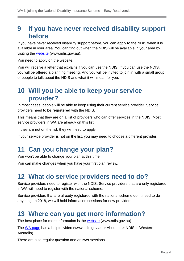#### <span id="page-4-0"></span>**9 If you have never received disability support before**

If you have never received disability support before, you can apply to the NDIS when it is available in your area. You can find out when the NDIS will be available in your area by visiting the [website](http://www.ndis.gov.au/) [\(www.ndis.gov.au\)](http://www.ndis.gov.au/).

You need to apply on the website.

You will receive a letter that explains if you can use the NDIS. If you can use the NDIS, you will be offered a planning meeting. And you will be invited to join in with a small group of people to talk about the NDIS and what it will mean for you.

#### <span id="page-4-1"></span>**10 Will you be able to keep your service provider?**

In most cases, people will be able to keep using their current service provider. Service providers need to be **registered** with the NDIS.

This means that they are on a list of providers who can offer services in the NDIS. Most service providers in WA are already on this list.

If they are not on the list, they will need to apply.

If your service provider is not on the list, you may need to choose a different provider.

## <span id="page-4-2"></span>**11 Can you change your plan?**

You won't be able to change your plan at this time.

You can make changes when you have your first plan review.

#### <span id="page-4-3"></span>**12 What do service providers need to do?**

Service providers need to register with the NDIS. Service providers that are only registered in WA will need to register with the national scheme.

Service providers that are already registered with the national scheme don't need to do anything. In 2018, we will hold information sessions for new providers.

## <span id="page-4-4"></span>**13 Where can you get more information?**

The best place for more information is the [website](http://www.ndis.gov.au/) [\(www.ndis.gov.au\)](http://www.ndis.gov.au/).

The [WA page](https://www.ndis.gov.au/about-us/our-sites/WA.html) has a helpful video [\(www.ndis.gov.au](http://www.ndis.gov.au/) > About us > NDIS in Western Australia).

There are also regular question and answer sessions.